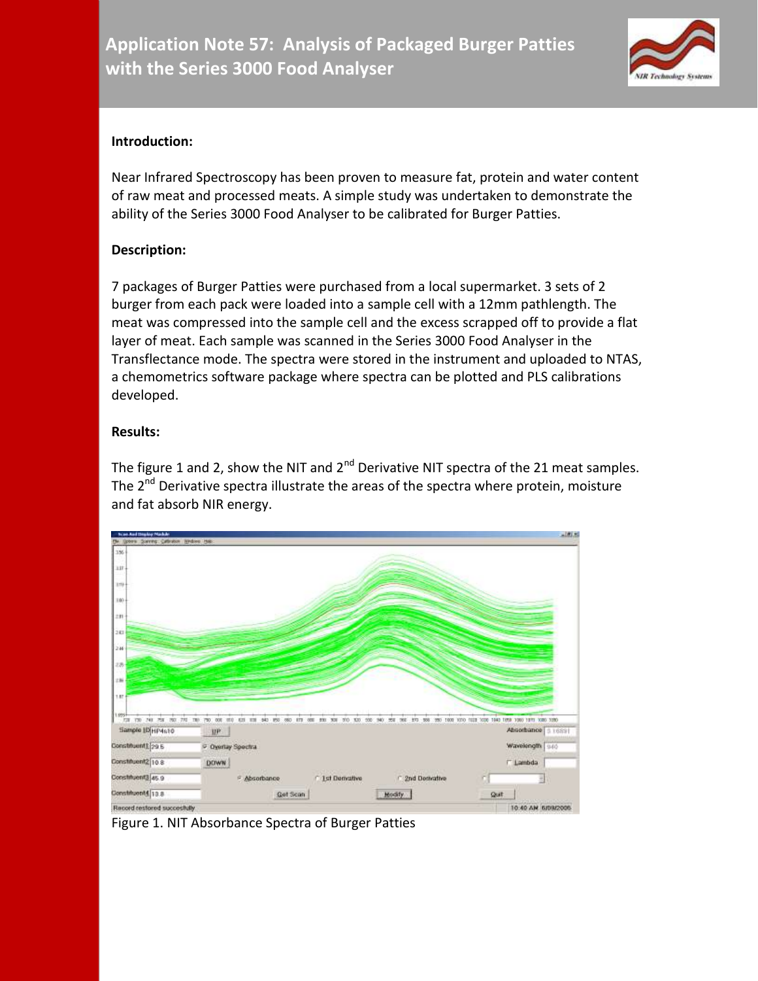

## **Introduction:**

Near Infrared Spectroscopy has been proven to measure fat, protein and water content of raw meat and processed meats. A simple study was undertaken to demonstrate the ability of the Series 3000 Food Analyser to be calibrated for Burger Patties.

## **Description:**

7 packages of Burger Patties were purchased from a local supermarket. 3 sets of 2 burger from each pack were loaded into a sample cell with a 12mm pathlength. The meat was compressed into the sample cell and the excess scrapped off to provide a flat layer of meat. Each sample was scanned in the Series 3000 Food Analyser in the Transflectance mode. The spectra were stored in the instrument and uploaded to NTAS, a chemometrics software package where spectra can be plotted and PLS calibrations developed.

## **Results:**

The figure 1 and 2, show the NIT and  $2<sup>nd</sup>$  Derivative NIT spectra of the 21 meat samples. The  $2^{nd}$  Derivative spectra illustrate the areas of the spectra where protein, moisture and fat absorb NIR energy.



Figure 1. NIT Absorbance Spectra of Burger Patties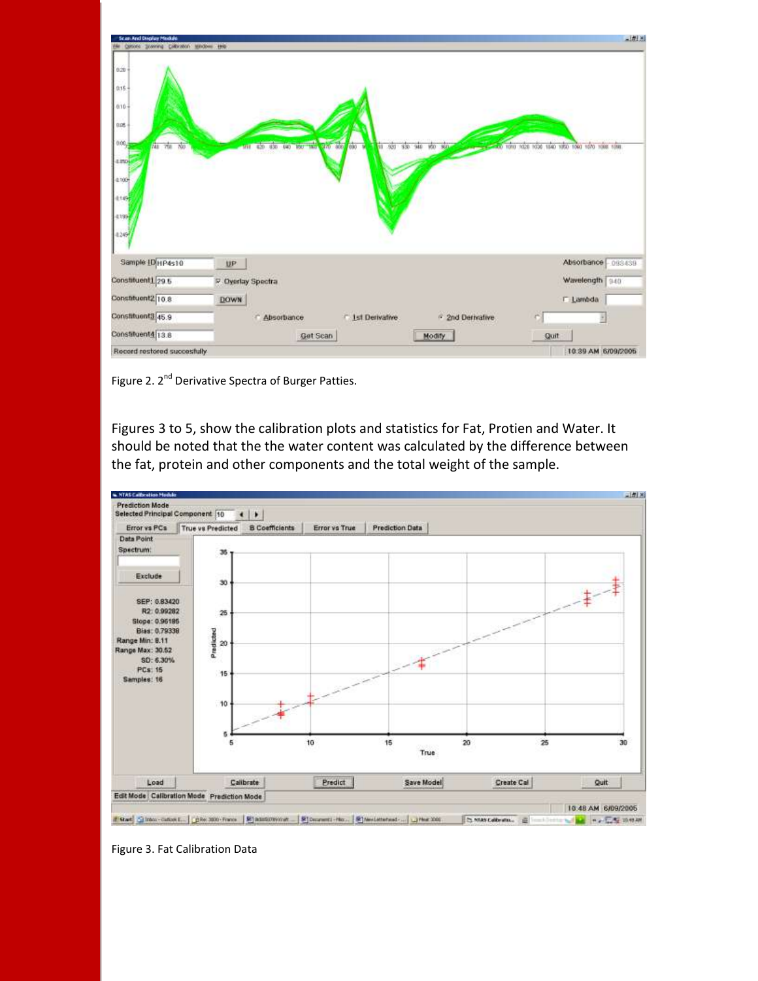| <b>Scan And Display Medule</b>                                                                                                                           |                                                                                                              | 三型图                                                    |
|----------------------------------------------------------------------------------------------------------------------------------------------------------|--------------------------------------------------------------------------------------------------------------|--------------------------------------------------------|
| Qatoes governa Colorator Windows tells<br>0.20<br>$0.15 -$<br>$0.10 -$<br>0.05<br>0.00,<br>708 700<br><b>FAB</b><br>4.150<br>4.100<br>北方<br>4139<br>4249 | 470 880 880<br>420 830<br><b>ROUTING</b><br>V<br>$-901$<br>330 940<br>950<br>840<br>49<br>360<br>$00 - 1000$ | 7026 1036 1540 1850 1060 1070 1088 1098                |
| Sample ID HP4s10<br>Constituent1.29.5<br>Constituent2 10.8<br>Constituent3 45.9                                                                          | UP.<br>P. Overlay Spectra<br><b>DOWN</b><br><sup>2</sup> 2nd Derivative<br>1st Derivative<br>Absorbance      | Absorbance 093439<br>Wavelength 340<br><b>E</b> Lambda |
| Constituent4 13.8<br>Record restored succesfully                                                                                                         | Get Scan<br>Modify                                                                                           | Quit<br>10.39 AM 6/09/2005                             |

Figure 2. 2<sup>nd</sup> Derivative Spectra of Burger Patties.

Figures 3 to 5, show the calibration plots and statistics for Fat, Protien and Water. It should be noted that the the water content was calculated by the difference between the fat, protein and other components and the total weight of the sample.



Figure 3. Fat Calibration Data